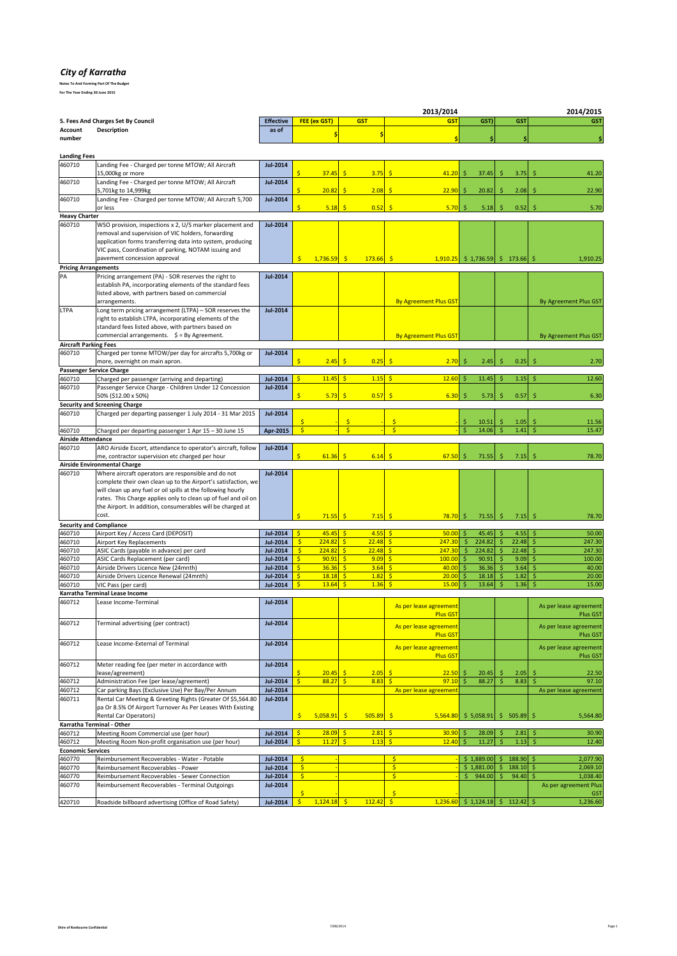## *City of Karratha*

**Notes To And Forming Part Of The Budget**

| For The Year Ending 30 June 2015 |  |  |  |
|----------------------------------|--|--|--|
|                                  |  |  |  |

| 2013/2014                                 |                                                                                                                      |                                    |                          |                           |                             |               |                                            |                                                           |                          | 2014/2015      |                                    |
|-------------------------------------------|----------------------------------------------------------------------------------------------------------------------|------------------------------------|--------------------------|---------------------------|-----------------------------|---------------|--------------------------------------------|-----------------------------------------------------------|--------------------------|----------------|------------------------------------|
| 5. Fees And Charges Set By Council        |                                                                                                                      | <b>Effective</b>                   |                          | FEE (ex GST)              |                             | <b>GST</b>    | <b>GST</b>                                 | GST)                                                      |                          | <b>GST</b>     | <b>GST</b>                         |
| <b>Description</b><br>Account<br>number   |                                                                                                                      | as of                              |                          |                           |                             | \$            | ۹                                          |                                                           |                          | Ŝ              |                                    |
|                                           |                                                                                                                      |                                    |                          |                           |                             |               |                                            |                                                           |                          |                |                                    |
| <b>Landing Fees</b>                       |                                                                                                                      |                                    |                          |                           |                             |               |                                            |                                                           |                          |                |                                    |
| 460710                                    | Landing Fee - Charged per tonne MTOW; All Aircraft<br>15,000kg or more                                               | <b>Jul-2014</b>                    |                          | 37.45                     | Ś                           | 3.75          | -Ŝ<br>41.20                                | Ŝ.<br>37.45                                               | -\$                      | 3.75           | 41.20                              |
| 460710                                    | Landing Fee - Charged per tonne MTOW; All Aircraft                                                                   | <b>Jul-2014</b>                    |                          |                           |                             |               |                                            |                                                           |                          |                |                                    |
| 460710                                    | 5,701kg to 14,999kg<br>Landing Fee - Charged per tonne MTOW; All Aircraft 5,700                                      | <b>Jul-2014</b>                    | Š.                       | 20.82                     | -\$                         | 2.08          | -Ŝ<br>22.90                                | -\$<br>20.82                                              | \$                       | 2.08           | 22.90<br>.S                        |
|                                           | or less                                                                                                              |                                    |                          | 5.18                      | <b>S</b>                    | 0.52          | 5.70                                       | 5.18<br>Ŝ.                                                | Ś                        | 0.52           | 5.70                               |
| <b>Heavy Charter</b><br>460710            | WSO provision, inspections x 2, U/S marker placement and                                                             | <b>Jul-2014</b>                    |                          |                           |                             |               |                                            |                                                           |                          |                |                                    |
|                                           | removal and supervision of VIC holders, forwarding                                                                   |                                    |                          |                           |                             |               |                                            |                                                           |                          |                |                                    |
|                                           | application forms transferring data into system, producing                                                           |                                    |                          |                           |                             |               |                                            |                                                           |                          |                |                                    |
|                                           | VIC pass, Coordination of parking, NOTAM issuing and<br>pavement concession approval                                 |                                    | Ŝ.                       | $1,736.59$ \$             |                             | 173.66        | -\$                                        | $\left  \frac{1,910.25}{2} \right $ \$ 1,736.59 \$ 173.66 |                          |                | 1,910.25                           |
| <b>Pricing Arrangements</b>               |                                                                                                                      |                                    |                          |                           |                             |               |                                            |                                                           |                          |                |                                    |
| PA                                        | Pricing arrangement (PA) - SOR reserves the right to                                                                 | <b>Jul-2014</b>                    |                          |                           |                             |               |                                            |                                                           |                          |                |                                    |
|                                           | establish PA, incorporating elements of the standard fees<br>listed above, with partners based on commercial         |                                    |                          |                           |                             |               |                                            |                                                           |                          |                |                                    |
|                                           | arrangements.                                                                                                        |                                    |                          |                           |                             |               | <b>By Agreement Plus GST</b>               |                                                           |                          |                | By Agreement Plus GST              |
| LTPA                                      | Long term pricing arrangement (LTPA) - SOR reserves the                                                              | <b>Jul-2014</b>                    |                          |                           |                             |               |                                            |                                                           |                          |                |                                    |
|                                           | right to establish LTPA, incorporating elements of the                                                               |                                    |                          |                           |                             |               |                                            |                                                           |                          |                |                                    |
|                                           | standard fees listed above, with partners based on<br>commercial arrangements. $\oint$ = By Agreement.               |                                    |                          |                           |                             |               | <b>By Agreement Plus GST</b>               |                                                           |                          |                | By Agreement Plus GST              |
| <b>Aircraft Parking Fees</b>              |                                                                                                                      |                                    |                          |                           |                             |               |                                            |                                                           |                          |                |                                    |
| 460710                                    | Charged per tonne MTOW/per day for aircrafts 5,700kg or                                                              | <b>Jul-2014</b>                    |                          |                           |                             |               |                                            |                                                           |                          |                |                                    |
|                                           | more, overnight on main apron.                                                                                       |                                    |                          | 2.45                      |                             | 0.25          | 2.70                                       | 2.45                                                      |                          | 0.25           | 2.70                               |
| <b>Passenger Service Charge</b><br>460710 | Charged per passenger (arriving and departing)                                                                       | <b>Jul-2014</b>                    | \$                       | 11.45                     | Ś                           | 1.15          | 12.60                                      | 11.45<br>-\$                                              | S                        | 1.15           | 12.60<br>S                         |
| 460710                                    | Passenger Service Charge - Children Under 12 Concession                                                              | <b>Jul-2014</b>                    |                          |                           |                             |               |                                            |                                                           |                          |                |                                    |
|                                           | 50% (\$12.00 x 50%)                                                                                                  |                                    |                          | 5.73                      | -Ś                          | 0.57          | 6.30<br><b>S</b>                           | Š.<br>5.73                                                | Ŝ.                       | 0.57           | 6.30<br>Š.                         |
| 460710                                    | <b>Security and Screening Charge</b><br>Charged per departing passenger 1 July 2014 - 31 Mar 2015                    | <b>Jul-2014</b>                    |                          |                           |                             |               |                                            |                                                           |                          |                |                                    |
|                                           |                                                                                                                      |                                    | $\mathsf{\hat{S}}$       |                           | $\mathsf{S}$                |               | Ś                                          | \$<br>10.51                                               |                          | 1.05           | 11.56<br>.S                        |
| 460710                                    | Charged per departing passenger 1 Apr 15 - 30 June 15                                                                | Apr-2015                           | $\overline{\mathsf{S}}$  |                           | $\overline{\mathsf{S}}$     |               |                                            | $\mathsf{\hat{S}}$<br>14.06                               | Ś                        | 1.41           | 15.47                              |
| <b>Airside Attendance</b><br>460710       | ARO Airside Escort, attendance to operator's aircraft, follow                                                        | <b>Jul-2014</b>                    |                          |                           |                             |               |                                            |                                                           |                          |                |                                    |
|                                           | me, contractor supervision etc charged per hour                                                                      |                                    |                          | 61.36                     | \$                          | 6.14          | 67.50<br>Ŝ                                 | Ŝ.<br>71.55                                               |                          | 7.15           | 78.70                              |
|                                           | <b>Airside Environmental Charge</b>                                                                                  |                                    |                          |                           |                             |               |                                            |                                                           |                          |                |                                    |
| 460710                                    | Where aircraft operators are responsible and do not<br>complete their own clean up to the Airport's satisfaction, we | <b>Jul-2014</b>                    |                          |                           |                             |               |                                            |                                                           |                          |                |                                    |
|                                           | will clean up any fuel or oil spills at the following hourly                                                         |                                    |                          |                           |                             |               |                                            |                                                           |                          |                |                                    |
|                                           | rates. This Charge applies only to clean up of fuel and oil on                                                       |                                    |                          |                           |                             |               |                                            |                                                           |                          |                |                                    |
|                                           | the Airport. In addition, consumerables will be charged at<br>cost.                                                  |                                    | Ś                        | $71.55$ \$                |                             | 7.15          | <b>S</b><br>78.70                          | -\$<br>71.55                                              | <b>S</b>                 | 7.15           | <b>S</b><br>78.70                  |
| <b>Security and Compliance</b>            |                                                                                                                      |                                    |                          |                           |                             |               |                                            |                                                           |                          |                |                                    |
| 460710                                    | Airport Key / Access Card (DEPOSIT)                                                                                  | <b>Jul-2014</b>                    | \$                       | $45.45$ \$                |                             | 4.55          | 50.00<br>-Ś                                | 45.45<br>\$                                               | $\frac{1}{2}$            | 4.55           | 50.00<br>\$                        |
| 460710                                    | Airport Key Replacements                                                                                             | <b>Jul-2014</b>                    | S.                       | $224.82$ \$               |                             | 22.48         | $\mathsf{S}$<br>247.30<br>247.30           | \$<br>224.82                                              | \$                       | 22.48<br>22.48 | \$<br>247.30                       |
| 460710<br>460710                          | ASIC Cards (payable in advance) per card<br>ASIC Cards Replacement (per card)                                        | <b>Jul-2014</b><br><b>Jul-2014</b> | $\mathsf{S}$<br>\$       | $224.82$ \$<br>$90.91$ \$ |                             | 22.48<br>9.09 | $\frac{1}{2}$<br>$\mathsf{S}$<br>100.00    | \$<br>224.82<br>\$<br>90.91                               | \$<br>\$                 | 9.09           | \$<br>247.30<br>\$<br>100.00       |
| 460710                                    | Airside Drivers Licence New (24mnth)                                                                                 | <b>Jul-2014</b>                    | $\mathsf{S}$             | $36.36$ \$                |                             | 3.64          | $\mathsf{S}$<br>$40.00$ \$                 | 36.36                                                     | -\$                      | 3.64           | 40.00<br>\$                        |
| 460710                                    | Airside Drivers Licence Renewal (24mnth)                                                                             | <b>Jul-2014</b>                    | \$                       | $18.18$ \$                |                             | 1.82          | \$<br>20.00                                | \$<br>18.18                                               | \$                       | 1.82           | \$<br>20.00                        |
| 460710                                    | VIC Pass (per card)<br>Karratha Terminal Lease Income                                                                | <b>Jul-2014</b>                    | \$                       | $13.64$ \$                |                             | 1.36          | 15.00<br>Ŝ                                 | $\mathsf{\hat{S}}$<br>13.64                               | Ś                        | 1.36           | 15.00<br>Ś                         |
| 460712                                    | Lease Income-Terminal                                                                                                | <b>Jul-2014</b>                    |                          |                           |                             |               |                                            |                                                           |                          |                |                                    |
|                                           |                                                                                                                      |                                    |                          |                           |                             |               | As per lease agreement<br><b>Plus GST</b>  |                                                           |                          |                | As per lease agreement<br>Plus GST |
| 460712                                    | Terminal advertising (per contract)                                                                                  | <b>Jul-2014</b>                    |                          |                           |                             |               | As per lease agreement                     |                                                           |                          |                | As per lease agreement             |
|                                           |                                                                                                                      |                                    |                          |                           |                             |               | <b>Plus GST</b>                            |                                                           |                          |                | Plus GST                           |
| 460712                                    | Lease Income-External of Terminal                                                                                    | <b>Jul-2014</b>                    |                          |                           |                             |               | As per lease agreement                     |                                                           |                          |                | As per lease agreement             |
|                                           |                                                                                                                      |                                    |                          |                           |                             |               | <b>Plus GST</b>                            |                                                           |                          |                | Plus GST                           |
| 460712                                    | Meter reading fee (per meter in accordance with                                                                      | <b>Jul-2014</b>                    |                          |                           |                             |               |                                            |                                                           |                          |                |                                    |
| 460712                                    | lease/agreement)<br>Administration Fee (per lease/agreement)                                                         | <b>Jul-2014</b>                    | \$<br>$\mathsf{\hat{S}}$ | 20.45<br>88.27            | $\sqrt{5}$<br>$\frac{1}{2}$ | 2.05<br>8.83  | $\mathsf{S}$<br>22.50<br><b>S</b><br>97.10 | \$<br>20.45<br>\$<br>88.27                                | \$<br>$\hat{\mathsf{S}}$ | 2.05<br>8.83   | \$<br>22.50<br>Š.<br>97.10         |
| 460712                                    | Car parking Bays (Exclusive Use) Per Bay/Per Annum                                                                   | <b>Jul-2014</b>                    |                          |                           |                             |               | As per lease agreement                     |                                                           |                          |                | As per lease agreement             |
| 460711                                    | Rental Car Meeting & Greeting Rights (Greater Of \$5,564.80                                                          | <b>Jul-2014</b>                    |                          |                           |                             |               |                                            |                                                           |                          |                |                                    |
|                                           | pa Or 8.5% Of Airport Turnover As Per Leases With Existing                                                           |                                    |                          |                           |                             |               |                                            |                                                           |                          |                |                                    |
| Karratha Terminal - Other                 | <b>Rental Car Operators)</b>                                                                                         |                                    | \$                       | 5,058.91                  | $\mathsf{S}$                | 505.89        | $\mathsf{\hat{S}}$<br>5,564.80             | \$5,058.91                                                |                          | \$505.89       | \$<br>5,564.80                     |
| 460712                                    | Meeting Room Commercial use (per hour)                                                                               | <b>Jul-2014</b>                    | \$                       | $28.09$ \$                |                             | 2.81          | $\ddot{\mathsf{S}}$<br>30.90               | \$<br>28.09                                               | \$                       | 2.81           | 30.90<br>\$                        |
| 460712                                    | Meeting Room Non-profit organisation use (per hour)                                                                  | <b>Jul-2014</b>                    | $\frac{1}{2}$            | 11.27S                    |                             | 1.13          | $\ddot{\mathsf{S}}$<br>12.40               | \$<br>11.27                                               | \$                       | 1.13           | $\frac{1}{2}$<br>12.40             |
| <b>Economic Services</b>                  | Reimbursement Recoverables - Water - Potable                                                                         | <b>Jul-2014</b>                    | $\mathsf{S}$             |                           |                             |               | \$                                         | \$1,889.00                                                | \$                       | 188.90         | 2,077.90                           |
| 460770<br>460770                          | Reimbursement Recoverables - Power                                                                                   | <b>Jul-2014</b>                    | $\frac{1}{2}$            |                           |                             |               | \$                                         | \$1,881.00                                                | \$                       | 188.10         | \$<br>2,069.10                     |
| 460770                                    | Reimbursement Recoverables - Sewer Connection                                                                        | <b>Jul-2014</b>                    | $\mathsf{S}$             |                           |                             |               | $\mathsf{S}$                               | \$<br>944.00                                              | \$                       | 94.40          | $\mathsf{\hat{S}}$<br>1,038.40     |
| 460770                                    | Reimbursement Recoverables - Terminal Outgoings                                                                      | <b>Jul-2014</b>                    |                          |                           |                             |               |                                            |                                                           |                          |                | As per agreement Plus              |
| 420710                                    | Roadside billboard advertising (Office of Road Safety)                                                               | Jul-2014                           | \$<br>$\mathsf{S}$       | $1,124.18$ \$             |                             | 112.42        | Ś<br>$\frac{1}{2}$                         | $1,236.60$ \$ 1,124.18                                    |                          | \$112.42       | <b>GST</b><br>1,236.60<br><b>S</b> |